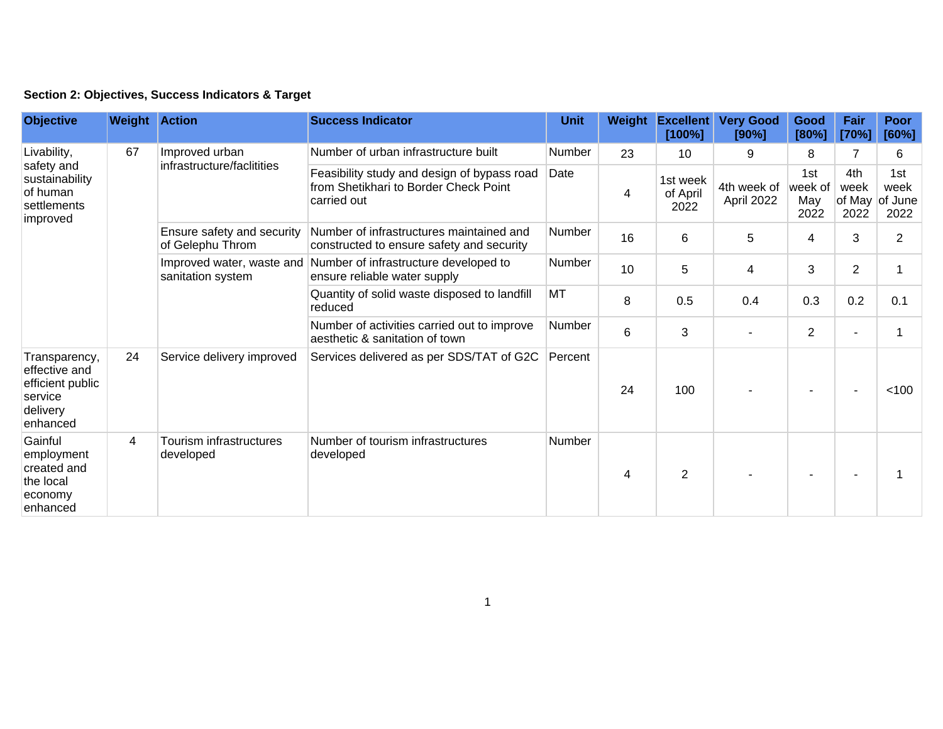| Section 2: Objectives, Success Indicators & Target |  |  |  |  |  |  |
|----------------------------------------------------|--|--|--|--|--|--|
|----------------------------------------------------|--|--|--|--|--|--|

| <b>Objective</b>                                                                                                                                                                | <b>Weight Action</b> |                                                | <b>Success Indicator</b>                                                                            | <b>Unit</b>                                                                           | Weight        | <b>Excellent</b><br>[100%]   | <b>Very Good</b><br>[90%] | <b>Good</b><br>[80%]          | Fair<br>[70%]       | <b>Poor</b><br>[60%]                  |   |
|---------------------------------------------------------------------------------------------------------------------------------------------------------------------------------|----------------------|------------------------------------------------|-----------------------------------------------------------------------------------------------------|---------------------------------------------------------------------------------------|---------------|------------------------------|---------------------------|-------------------------------|---------------------|---------------------------------------|---|
| Livability,                                                                                                                                                                     | 67                   | Improved urban<br>infrastructure/faclitities   | Number of urban infrastructure built                                                                | <b>Number</b>                                                                         | 23            | 10 <sup>°</sup>              | 9                         | 8                             | 7                   | 6                                     |   |
| sustainability<br>of human<br>settlements                                                                                                                                       |                      |                                                | Feasibility study and design of bypass road<br>from Shetikhari to Border Check Point<br>carried out | Date                                                                                  | 4             | 1st week<br>of April<br>2022 | 4th week of<br>April 2022 | 1st<br>week of<br>May<br>2022 | 4th<br>week<br>2022 | 1st<br>week<br>of May of June<br>2022 |   |
| safety and<br>improved<br>Transparency,<br>effective and<br>efficient public<br>service<br>delivery<br>enhanced<br>Gainful<br>employment<br>created and<br>the local<br>economy |                      |                                                | Ensure safety and security<br>of Gelephu Throm                                                      | Number of infrastructures maintained and<br>constructed to ensure safety and security | <b>Number</b> | 16                           | 6                         | 5                             | $\overline{4}$      | 3                                     | 2 |
|                                                                                                                                                                                 |                      | Improved water, waste and<br>sanitation system | Number of infrastructure developed to<br>ensure reliable water supply                               | <b>Number</b>                                                                         | 10            | 5                            | 4                         | 3                             | $\overline{2}$      |                                       |   |
|                                                                                                                                                                                 |                      |                                                | Quantity of solid waste disposed to landfill<br>reduced                                             | MT                                                                                    | 8             | 0.5                          | 0.4                       | 0.3                           | 0.2                 | 0.1                                   |   |
|                                                                                                                                                                                 |                      |                                                | Number of activities carried out to improve<br>aesthetic & sanitation of town                       | Number                                                                                | 6             | 3                            |                           | $\overline{2}$                |                     |                                       |   |
|                                                                                                                                                                                 | 24                   | Service delivery improved                      | Services delivered as per SDS/TAT of G2C                                                            | Percent                                                                               | 24            | 100                          |                           |                               |                     | < 100                                 |   |
| enhanced                                                                                                                                                                        | 4                    | Tourism infrastructures<br>developed           | Number of tourism infrastructures<br>developed                                                      | Number                                                                                | 4             | $\overline{2}$               |                           |                               |                     |                                       |   |